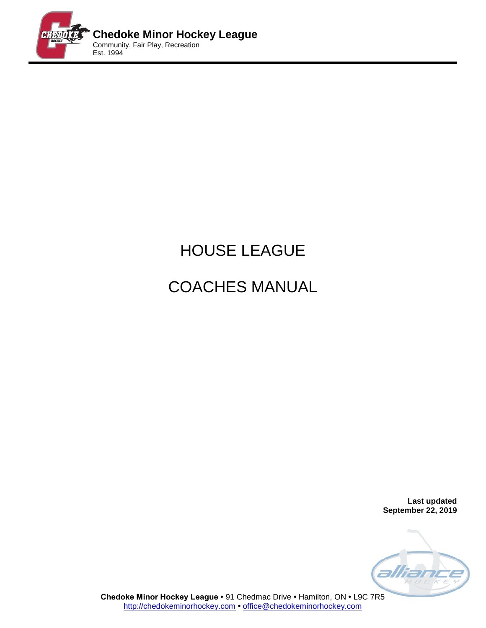

# HOUSE LEAGUE

# COACHES MANUAL

**Last updated September 22, 2019**



**Chedoke Minor Hockey League •** 91 Chedmac Drive **•** Hamilton, ON **•** L9C 7R5 [http://chedokeminorhockey.com](http://chedokeminorhockey.com/) **•** [office@chedokeminorhockey.com](mailto:office@chedokeminorhockey.com)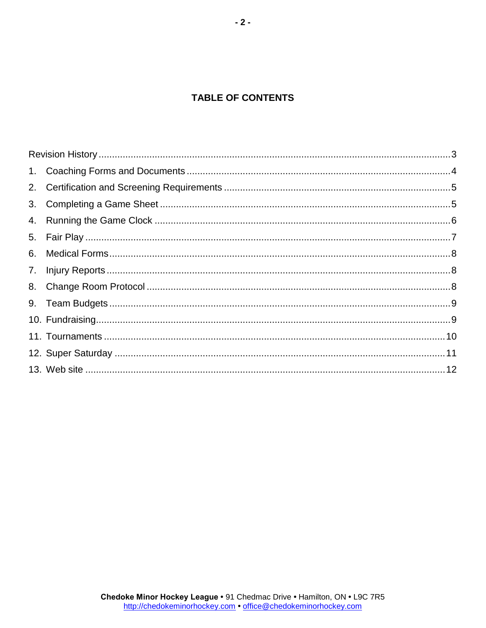# **TABLE OF CONTENTS**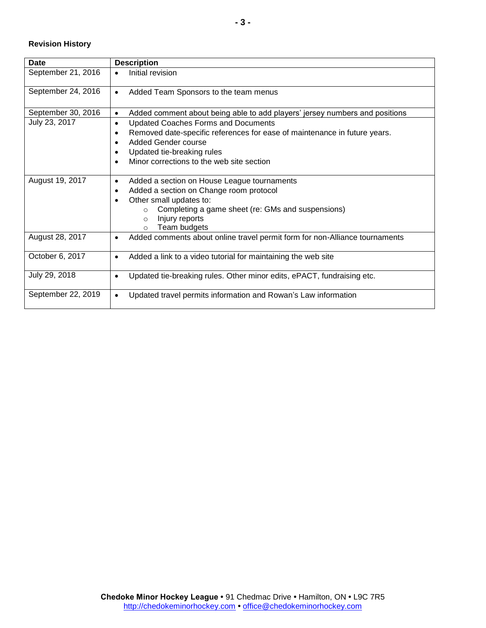## <span id="page-2-0"></span>**Revision History**

| Date               | <b>Description</b>                                                                       |
|--------------------|------------------------------------------------------------------------------------------|
| September 21, 2016 | Initial revision                                                                         |
| September 24, 2016 | Added Team Sponsors to the team menus<br>$\bullet$                                       |
| September 30, 2016 | Added comment about being able to add players' jersey numbers and positions<br>٠         |
| July 23, 2017      | <b>Updated Coaches Forms and Documents</b><br>$\bullet$                                  |
|                    | Removed date-specific references for ease of maintenance in future years.<br>٠           |
|                    | <b>Added Gender course</b><br>$\bullet$                                                  |
|                    | Updated tie-breaking rules<br>$\bullet$                                                  |
|                    | Minor corrections to the web site section<br>$\bullet$                                   |
| August 19, 2017    | Added a section on House League tournaments<br>$\bullet$                                 |
|                    | Added a section on Change room protocol<br>٠                                             |
|                    | Other small updates to:                                                                  |
|                    | Completing a game sheet (re: GMs and suspensions)<br>$\circ$                             |
|                    | Injury reports<br>$\circ$                                                                |
|                    | Team budgets<br>$\Omega$                                                                 |
| August 28, 2017    | Added comments about online travel permit form for non-Alliance tournaments<br>$\bullet$ |
| October 6, 2017    | Added a link to a video tutorial for maintaining the web site<br>$\bullet$               |
| July 29, 2018      | Updated tie-breaking rules. Other minor edits, ePACT, fundraising etc.<br>$\bullet$      |
| September 22, 2019 | Updated travel permits information and Rowan's Law information                           |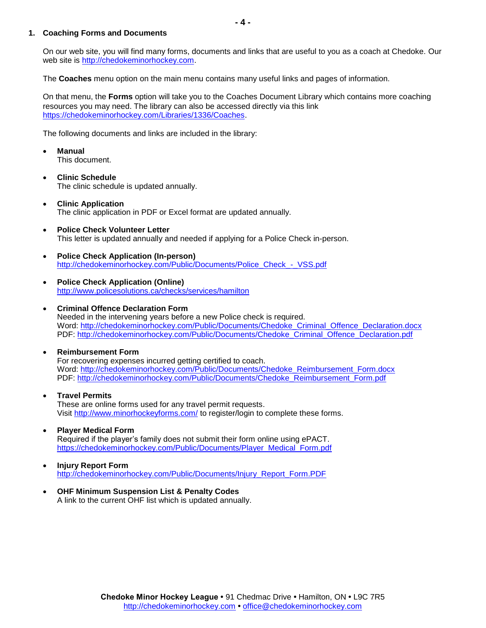#### <span id="page-3-0"></span>**1. Coaching Forms and Documents**

On our web site, you will find many forms, documents and links that are useful to you as a coach at Chedoke. Our web site is [http://chedokeminorhockey.com.](http://chedokeminorhockey.com/)

The **Coaches** menu option on the main menu contains many useful links and pages of information.

On that menu, the **Forms** option will take you to the Coaches Document Library which contains more coaching resources you may need. The library can also be accessed directly via this link [https://chedokeminorhockey.com/Libraries/1336/Coaches.](https://chedokeminorhockey.com/Libraries/1336/Coaches/)

The following documents and links are included in the library:

- **Manual** This document.
- **Clinic Schedule** The clinic schedule is updated annually.
- **Clinic Application** The clinic application in PDF or Excel format are updated annually.
- **Police Check Volunteer Letter** This letter is updated annually and needed if applying for a Police Check in-person.
- **Police Check Application (In-person)** [http://chedokeminorhockey.com/Public/Documents/Police\\_Check\\_-\\_VSS.pdf](http://chedokeminorhockey.com/Public/Documents/Police_Check_-_VSS.pdf)
- **Police Check Application (Online)** <http://www.policesolutions.ca/checks/services/hamilton>
- **Criminal Offence Declaration Form** Needed in the intervening years before a new Police check is required. Word: [http://chedokeminorhockey.com/Public/Documents/Chedoke\\_Criminal\\_Offence\\_Declaration.docx](http://chedokeminorhockey.com/Public/Documents/Chedoke_Criminal_Offence_Declaration.docx) PDF: [http://chedokeminorhockey.com/Public/Documents/Chedoke\\_Criminal\\_Offence\\_Declaration.pdf](http://chedokeminorhockey.com/Public/Documents/Chedoke_Criminal_Offence_Declaration.pdf)
- **Reimbursement Form** For recovering expenses incurred getting certified to coach. Word: [http://chedokeminorhockey.com/Public/Documents/Chedoke\\_Reimbursement\\_Form.docx](http://chedokeminorhockey.com/Public/Documents/Chedoke_Reimbursement_Form.docx) PDF: [http://chedokeminorhockey.com/Public/Documents/Chedoke\\_Reimbursement\\_Form.pdf](http://chedokeminorhockey.com/Public/Documents/Chedoke_Reimbursement_Form.pdf)
- **Travel Permits** These are online forms used for any travel permit requests. Visit<http://www.minorhockeyforms.com/> to register/login to complete these forms.
- **Player Medical Form** Required if the player's family does not submit their form online using ePACT. [https://chedokeminorhockey.com/Public/Documents/Player\\_Medical\\_Form.pdf](https://chedokeminorhockey.com/Public/Documents/Player_Medical_Form.pdf)
- **Injury Report Form** [http://chedokeminorhockey.com/Public/Documents/Injury\\_Report\\_Form.PDF](http://chedokeminorhockey.com/Public/Documents/Injury_Report_Form.PDF)
- **OHF Minimum Suspension List & Penalty Codes** A link to the current OHF list which is updated annually.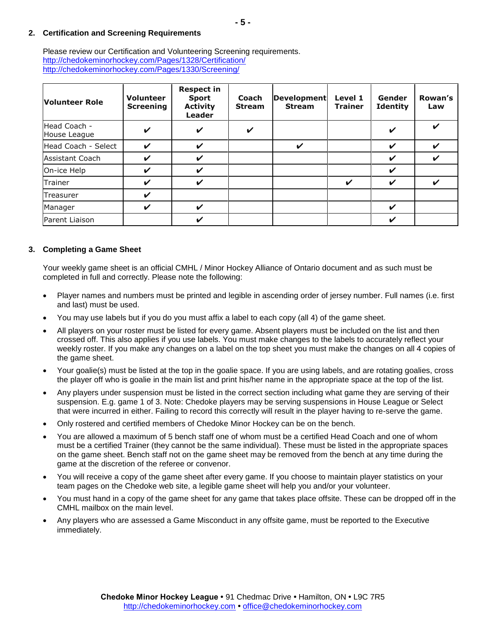## <span id="page-4-0"></span>**2. Certification and Screening Requirements**

Please review our Certification and Volunteering Screening requirements. <http://chedokeminorhockey.com/Pages/1328/Certification/> <http://chedokeminorhockey.com/Pages/1330/Screening/>

| <b>Volunteer Role</b>        | <b>Volunteer</b><br><b>Screening</b> | <b>Respect in</b><br><b>Sport</b><br><b>Activity</b><br><b>Leader</b> | <b>Coach</b><br><b>Stream</b> | <b>Development</b><br><b>Stream</b> | Level 1<br><b>Trainer</b> | Gender<br><b>Identity</b> | Rowan's<br>Law     |
|------------------------------|--------------------------------------|-----------------------------------------------------------------------|-------------------------------|-------------------------------------|---------------------------|---------------------------|--------------------|
| Head Coach -<br>House League | $\checkmark$                         | V                                                                     | V                             |                                     |                           | ✔                         | $\boldsymbol{\nu}$ |
| Head Coach - Select          | $\boldsymbol{\nu}$                   | V                                                                     |                               | V                                   |                           | ✔                         | ✔                  |
| <b>Assistant Coach</b>       | ✔                                    | V                                                                     |                               |                                     |                           | V                         | V                  |
| On-ice Help                  | ✓                                    | V                                                                     |                               |                                     |                           | $\checkmark$              |                    |
| Trainer                      | ✓                                    | V                                                                     |                               |                                     | ✔                         | ✔                         | ✔                  |
| Treasurer                    | ✔                                    |                                                                       |                               |                                     |                           |                           |                    |
| Manager                      | ✓                                    | V                                                                     |                               |                                     |                           | V                         |                    |
| Parent Liaison               |                                      | V                                                                     |                               |                                     |                           | ✓                         |                    |

#### <span id="page-4-1"></span>**3. Completing a Game Sheet**

Your weekly game sheet is an official CMHL / Minor Hockey Alliance of Ontario document and as such must be completed in full and correctly. Please note the following:

- Player names and numbers must be printed and legible in ascending order of jersey number. Full names (i.e. first and last) must be used.
- You may use labels but if you do you must affix a label to each copy (all 4) of the game sheet.
- All players on your roster must be listed for every game. Absent players must be included on the list and then crossed off. This also applies if you use labels. You must make changes to the labels to accurately reflect your weekly roster. If you make any changes on a label on the top sheet you must make the changes on all 4 copies of the game sheet.
- Your goalie(s) must be listed at the top in the goalie space. If you are using labels, and are rotating goalies, cross the player off who is goalie in the main list and print his/her name in the appropriate space at the top of the list.
- Any players under suspension must be listed in the correct section including what game they are serving of their suspension. E.g. game 1 of 3. Note: Chedoke players may be serving suspensions in House League or Select that were incurred in either. Failing to record this correctly will result in the player having to re-serve the game.
- Only rostered and certified members of Chedoke Minor Hockey can be on the bench.
- You are allowed a maximum of 5 bench staff one of whom must be a certified Head Coach and one of whom must be a certified Trainer (they cannot be the same individual). These must be listed in the appropriate spaces on the game sheet. Bench staff not on the game sheet may be removed from the bench at any time during the game at the discretion of the referee or convenor.
- You will receive a copy of the game sheet after every game. If you choose to maintain player statistics on your team pages on the Chedoke web site, a legible game sheet will help you and/or your volunteer.
- You must hand in a copy of the game sheet for any game that takes place offsite. These can be dropped off in the CMHL mailbox on the main level.
- Any players who are assessed a Game Misconduct in any offsite game, must be reported to the Executive immediately.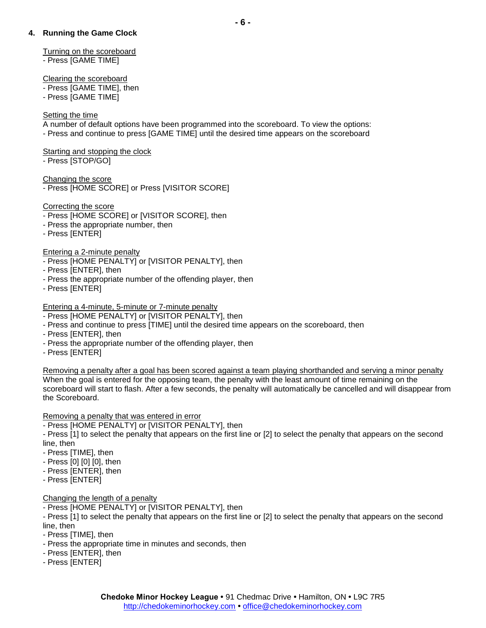# <span id="page-5-0"></span>**4. Running the Game Clock**

# Turning on the scoreboard

- Press [GAME TIME]

Clearing the scoreboard

- Press [GAME TIME], then
- Press [GAME TIME]

# Setting the time

A number of default options have been programmed into the scoreboard. To view the options:

- Press and continue to press [GAME TIME] until the desired time appears on the scoreboard

# Starting and stopping the clock

- Press [STOP/GO]

# Changing the score

- Press [HOME SCORE] or Press [VISITOR SCORE]

# Correcting the score

- Press [HOME SCORE] or [VISITOR SCORE], then
- Press the appropriate number, then
- Press [ENTER]

# Entering a 2-minute penalty

- Press [HOME PENALTY] or [VISITOR PENALTY], then
- Press [ENTER], then
- Press the appropriate number of the offending player, then
- Press [ENTER]

# Entering a 4-minute, 5-minute or 7-minute penalty

- Press [HOME PENALTY] or [VISITOR PENALTY], then
- Press and continue to press [TIME] until the desired time appears on the scoreboard, then
- Press [ENTER], then
- Press the appropriate number of the offending player, then
- Press [ENTER]

Removing a penalty after a goal has been scored against a team playing shorthanded and serving a minor penalty When the goal is entered for the opposing team, the penalty with the least amount of time remaining on the scoreboard will start to flash. After a few seconds, the penalty will automatically be cancelled and will disappear from the Scoreboard.

# Removing a penalty that was entered in error

- Press [HOME PENALTY] or [VISITOR PENALTY], then

- Press [1] to select the penalty that appears on the first line or [2] to select the penalty that appears on the second line, then

- Press [TIME], then
- Press [0] [0] [0], then
- Press [ENTER], then
- Press [ENTER]

# Changing the length of a penalty

- Press [HOME PENALTY] or [VISITOR PENALTY], then

- Press [1] to select the penalty that appears on the first line or [2] to select the penalty that appears on the second line, then

- Press [TIME], then
- Press the appropriate time in minutes and seconds, then
- Press [ENTER], then
- Press [ENTER]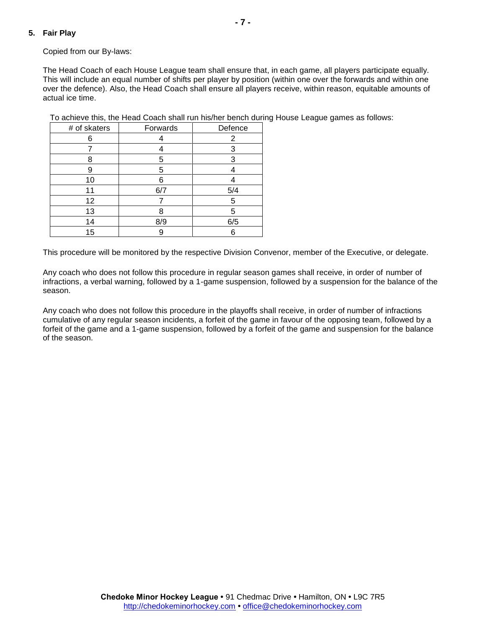# <span id="page-6-0"></span>**5. Fair Play**

Copied from our By-laws:

The Head Coach of each House League team shall ensure that, in each game, all players participate equally. This will include an equal number of shifts per player by position (within one over the forwards and within one over the defence). Also, the Head Coach shall ensure all players receive, within reason, equitable amounts of actual ice time.

To achieve this, the Head Coach shall run his/her bench during House League games as follows:

| # of skaters | Forwards | Defence        |
|--------------|----------|----------------|
| 6            |          | $\overline{2}$ |
|              |          | 3              |
| 8            | 5        | 3              |
| 9            | 5        |                |
| 10           | 6        |                |
| 11           | 6/7      | 5/4            |
| 12           |          | 5              |
| 13           | 8        | 5              |
| 14           | 8/9      | 6/5            |
| 15           | 9        | 6              |

This procedure will be monitored by the respective Division Convenor, member of the Executive, or delegate.

Any coach who does not follow this procedure in regular season games shall receive, in order of number of infractions, a verbal warning, followed by a 1-game suspension, followed by a suspension for the balance of the season.

Any coach who does not follow this procedure in the playoffs shall receive, in order of number of infractions cumulative of any regular season incidents, a forfeit of the game in favour of the opposing team, followed by a forfeit of the game and a 1-game suspension, followed by a forfeit of the game and suspension for the balance of the season.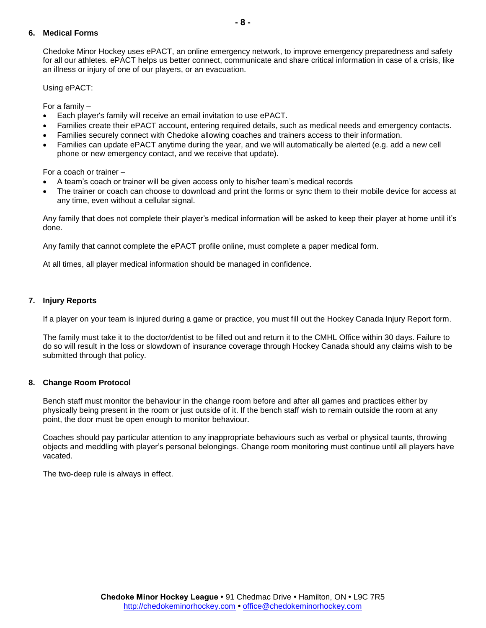# <span id="page-7-0"></span>**6. Medical Forms**

Chedoke Minor Hockey uses ePACT, an online emergency network, to improve emergency preparedness and safety for all our athletes. ePACT helps us better connect, communicate and share critical information in case of a crisis, like an illness or injury of one of our players, or an evacuation.

Using ePACT:

For a family –

- Each player's family will receive an email invitation to use ePACT.
- Families create their ePACT account, entering required details, such as medical needs and emergency contacts.
- Families securely connect with Chedoke allowing coaches and trainers access to their information.
- Families can update ePACT anytime during the year, and we will automatically be alerted (e.g. add a new cell phone or new emergency contact, and we receive that update).

For a coach or trainer –

- A team's coach or trainer will be given access only to his/her team's medical records
- The trainer or coach can choose to download and print the forms or sync them to their mobile device for access at any time, even without a cellular signal.

Any family that does not complete their player's medical information will be asked to keep their player at home until it's done.

Any family that cannot complete the ePACT profile online, must complete a paper medical form.

At all times, all player medical information should be managed in confidence.

#### <span id="page-7-1"></span>**7. Injury Reports**

If a player on your team is injured during a game or practice, you must fill out the Hockey Canada Injury Report form.

The family must take it to the doctor/dentist to be filled out and return it to the CMHL Office within 30 days. Failure to do so will result in the loss or slowdown of insurance coverage through Hockey Canada should any claims wish to be submitted through that policy.

#### <span id="page-7-2"></span>**8. Change Room Protocol**

Bench staff must monitor the behaviour in the change room before and after all games and practices either by physically being present in the room or just outside of it. If the bench staff wish to remain outside the room at any point, the door must be open enough to monitor behaviour.

Coaches should pay particular attention to any inappropriate behaviours such as verbal or physical taunts, throwing objects and meddling with player's personal belongings. Change room monitoring must continue until all players have vacated.

The two-deep rule is always in effect.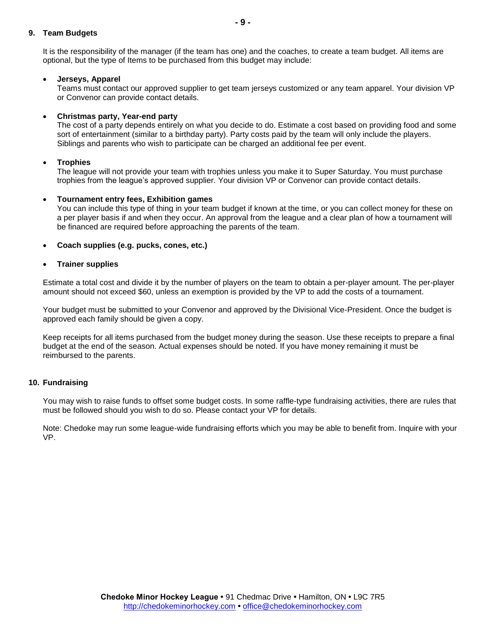#### <span id="page-8-0"></span>**9. Team Budgets**

It is the responsibility of the manager (if the team has one) and the coaches, to create a team budget. All items are optional, but the type of Items to be purchased from this budget may include:

#### **Jerseys, Apparel**

Teams must contact our approved supplier to get team jerseys customized or any team apparel. Your division VP or Convenor can provide contact details.

#### **Christmas party, Year-end party**

The cost of a party depends entirely on what you decide to do. Estimate a cost based on providing food and some sort of entertainment (similar to a birthday party). Party costs paid by the team will only include the players. Siblings and parents who wish to participate can be charged an additional fee per event.

#### **Trophies**

The league will not provide your team with trophies unless you make it to Super Saturday. You must purchase trophies from the league's approved supplier. Your division VP or Convenor can provide contact details.

#### **Tournament entry fees, Exhibition games**

You can include this type of thing in your team budget if known at the time, or you can collect money for these on a per player basis if and when they occur. An approval from the league and a clear plan of how a tournament will be financed are required before approaching the parents of the team.

#### **Coach supplies (e.g. pucks, cones, etc.)**

#### **Trainer supplies**

Estimate a total cost and divide it by the number of players on the team to obtain a per-player amount. The per-player amount should not exceed \$60, unless an exemption is provided by the VP to add the costs of a tournament.

Your budget must be submitted to your Convenor and approved by the Divisional Vice-President. Once the budget is approved each family should be given a copy.

Keep receipts for all items purchased from the budget money during the season. Use these receipts to prepare a final budget at the end of the season. Actual expenses should be noted. If you have money remaining it must be reimbursed to the parents.

#### <span id="page-8-1"></span>**10. Fundraising**

You may wish to raise funds to offset some budget costs. In some raffle-type fundraising activities, there are rules that must be followed should you wish to do so. Please contact your VP for details.

Note: Chedoke may run some league-wide fundraising efforts which you may be able to benefit from. Inquire with your VP.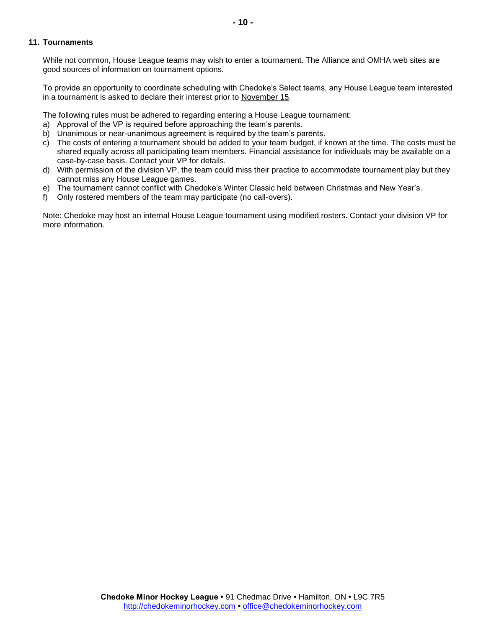#### <span id="page-9-0"></span>**11. Tournaments**

While not common, House League teams may wish to enter a tournament. The Alliance and OMHA web sites are good sources of information on tournament options.

To provide an opportunity to coordinate scheduling with Chedoke's Select teams, any House League team interested in a tournament is asked to declare their interest prior to November 15.

The following rules must be adhered to regarding entering a House League tournament:

- a) Approval of the VP is required before approaching the team's parents.
- b) Unanimous or near-unanimous agreement is required by the team's parents.
- c) The costs of entering a tournament should be added to your team budget, if known at the time. The costs must be shared equally across all participating team members. Financial assistance for individuals may be available on a case-by-case basis. Contact your VP for details.
- d) With permission of the division VP, the team could miss their practice to accommodate tournament play but they cannot miss any House League games.
- e) The tournament cannot conflict with Chedoke's Winter Classic held between Christmas and New Year's.
- f) Only rostered members of the team may participate (no call-overs).

Note: Chedoke may host an internal House League tournament using modified rosters. Contact your division VP for more information.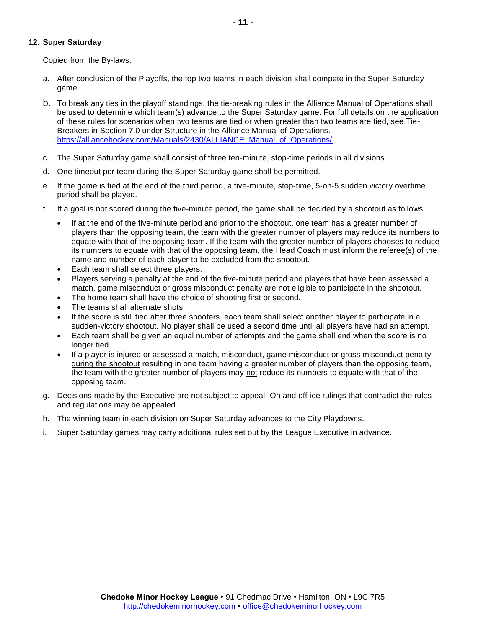## <span id="page-10-0"></span>**12. Super Saturday**

Copied from the By-laws:

- a. After conclusion of the Playoffs, the top two teams in each division shall compete in the Super Saturday game.
- b. To break any ties in the playoff standings, the tie-breaking rules in the Alliance Manual of Operations shall be used to determine which team(s) advance to the Super Saturday game. For full details on the application of these rules for scenarios when two teams are tied or when greater than two teams are tied, see Tie-Breakers in Section 7.0 under Structure in the Alliance Manual of Operations. [https://alliancehockey.com/Manuals/2430/ALLIANCE\\_Manual\\_of\\_Operations/](https://alliancehockey.com/Manuals/2430/ALLIANCE_Manual_of_Operations/)
- c. The Super Saturday game shall consist of three ten-minute, stop-time periods in all divisions.
- d. One timeout per team during the Super Saturday game shall be permitted.
- e. If the game is tied at the end of the third period, a five-minute, stop-time, 5-on-5 sudden victory overtime period shall be played.
- f. If a goal is not scored during the five-minute period, the game shall be decided by a shootout as follows:
	- If at the end of the five-minute period and prior to the shootout, one team has a greater number of players than the opposing team, the team with the greater number of players may reduce its numbers to equate with that of the opposing team. If the team with the greater number of players chooses to reduce its numbers to equate with that of the opposing team, the Head Coach must inform the referee(s) of the name and number of each player to be excluded from the shootout.
	- Each team shall select three players.
	- Players serving a penalty at the end of the five-minute period and players that have been assessed a match, game misconduct or gross misconduct penalty are not eligible to participate in the shootout.
	- The home team shall have the choice of shooting first or second.
	- The teams shall alternate shots.
	- If the score is still tied after three shooters, each team shall select another player to participate in a sudden-victory shootout. No player shall be used a second time until all players have had an attempt.
	- Each team shall be given an equal number of attempts and the game shall end when the score is no longer tied.
	- If a player is injured or assessed a match, misconduct, game misconduct or gross misconduct penalty during the shootout resulting in one team having a greater number of players than the opposing team, the team with the greater number of players may not reduce its numbers to equate with that of the opposing team.
- g. Decisions made by the Executive are not subject to appeal. On and off-ice rulings that contradict the rules and regulations may be appealed.
- h. The winning team in each division on Super Saturday advances to the City Playdowns.
- i. Super Saturday games may carry additional rules set out by the League Executive in advance.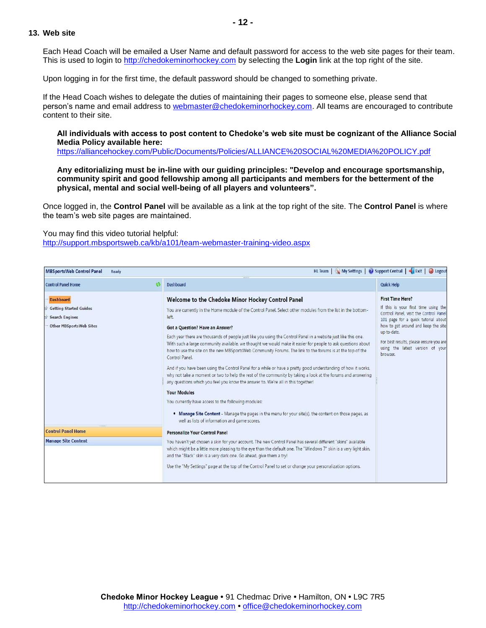#### <span id="page-11-0"></span>**13. Web site**

Each Head Coach will be emailed a User Name and default password for access to the web site pages for their team. This is used to login to [http://chedokeminorhockey.com](http://chedokeminorhockey.com/) by selecting the **Login** link at the top right of the site.

Upon logging in for the first time, the default password should be changed to something private.

If the Head Coach wishes to delegate the duties of maintaining their pages to someone else, please send that person's name and email address to [webmaster@chedokeminorhockey.com.](mailto:webmaster@chedokeminorhockey.com) All teams are encouraged to contribute content to their site.

#### **All individuals with access to post content to Chedoke's web site must be cognizant of the Alliance Social Media Policy available here:**

<https://alliancehockey.com/Public/Documents/Policies/ALLIANCE%20SOCIAL%20MEDIA%20POLICY.pdf>

**Any editorializing must be in-line with our guiding principles: "Develop and encourage sportsmanship, community spirit and good fellowship among all participants and members for the betterment of the physical, mental and social well-being of all players and volunteers".**

Once logged in, the **Control Panel** will be available as a link at the top right of the site. The **Control Panel** is where the team's web site pages are maintained.

You may find this video tutorial helpful:

<http://support.mbsportsweb.ca/kb/a101/team-webmaster-training-video.aspx>

| HL Team   My Settings   @ Support Central   Faxit   @ Logout<br><b>MBSportsWeb Control Panel</b><br>Ready<br>11111 |                                                                                                                                                                                                                                                                                                                                                                                                                                                                                                                                                                                                                                                                                                                                                                                                                                                                                                                                                                                                                                                                                                                                          |                                                                                                                                                                                                                                                                                                   |  |  |  |  |  |
|--------------------------------------------------------------------------------------------------------------------|------------------------------------------------------------------------------------------------------------------------------------------------------------------------------------------------------------------------------------------------------------------------------------------------------------------------------------------------------------------------------------------------------------------------------------------------------------------------------------------------------------------------------------------------------------------------------------------------------------------------------------------------------------------------------------------------------------------------------------------------------------------------------------------------------------------------------------------------------------------------------------------------------------------------------------------------------------------------------------------------------------------------------------------------------------------------------------------------------------------------------------------|---------------------------------------------------------------------------------------------------------------------------------------------------------------------------------------------------------------------------------------------------------------------------------------------------|--|--|--|--|--|
| <b>Control Panel Home</b>                                                                                          | <b>Dashboard</b>                                                                                                                                                                                                                                                                                                                                                                                                                                                                                                                                                                                                                                                                                                                                                                                                                                                                                                                                                                                                                                                                                                                         | <b>Quick Help</b>                                                                                                                                                                                                                                                                                 |  |  |  |  |  |
| <b>Dashboard</b><br><b>Getting Started Guides</b><br><b>Search Engines</b><br>Other MBSportsWeb Sites              | Welcome to the Chedoke Minor Hockey Control Panel<br>You are currently in the Home module of the Control Panel. Select other modules from the list in the bottom-<br>left.<br>Got a Question? Have an Answer?<br>Each year there are thousands of people just like you using the Control Panel in a website just like this one.<br>With such a large community available, we thought we would make it easier for people to ask questions about<br>how to use the site on the new MBSportsWeb Community Forums. The link to the forums is at the top of the<br>Control Panel.<br>And if you have been using the Control Panel for a while or have a pretty good understanding of how it works,<br>why not take a moment or two to help the rest of the community by taking a look at the forums and answering<br>any questions which you feel you know the answer to. We're all in this together!<br><b>Your Modules</b><br>You currently have access to the following modules:<br>. Manage Site Content - Manage the pages in the menu for your site(s), the content on those pages, as<br>well as lists of information and game scores. | <b>First Time Here?</b><br>If this is your first time using the<br>Control Panel, visit the Control Panel<br>101 page for a quick tutorial about<br>how to get around and keep the site<br>up-to-date.<br>For best results, please ensure you are<br>using the latest version of your<br>browser. |  |  |  |  |  |
| <b>Control Panel Home</b>                                                                                          | Personalize Your Control Panel                                                                                                                                                                                                                                                                                                                                                                                                                                                                                                                                                                                                                                                                                                                                                                                                                                                                                                                                                                                                                                                                                                           |                                                                                                                                                                                                                                                                                                   |  |  |  |  |  |
| <b>Manage Site Content</b>                                                                                         | You haven't yet chosen a skin for your account. The new Control Panel has several different "skins" available<br>which might be a little more pleasing to the eye than the default one. The "Windows 7" skin is a very light skin,<br>and the "Black" skin is a very dark one. Go ahead, give them a try!<br>Use the "My Settings" page at the top of the Control Panel to set or change your personalization options.                                                                                                                                                                                                                                                                                                                                                                                                                                                                                                                                                                                                                                                                                                                   |                                                                                                                                                                                                                                                                                                   |  |  |  |  |  |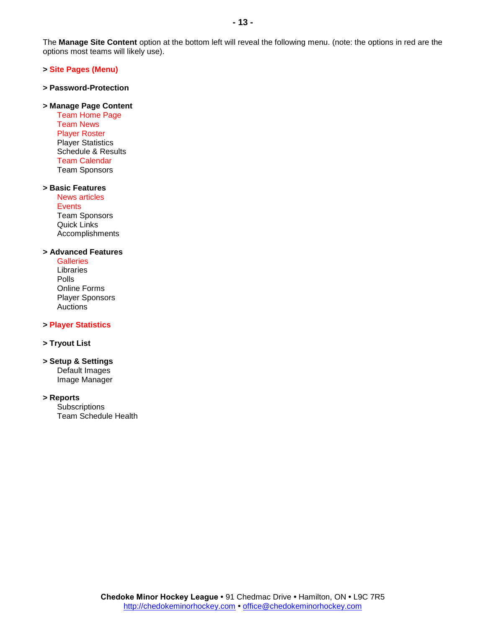The **Manage Site Content** option at the bottom left will reveal the following menu. (note: the options in red are the options most teams will likely use).

#### **> Site Pages (Menu)**

#### **> Password-Protection**

#### **> Manage Page Content**

Team Home Page Team News Player Roster Player Statistics Schedule & Results Team Calendar Team Sponsors

#### **> Basic Features**

News articles **Events** Team Sponsors Quick Links Accomplishments

#### **> Advanced Features**

**Galleries** Libraries Polls Online Forms Player Sponsors Auctions

#### **> Player Statistics**

#### **> Tryout List**

#### **> Setup & Settings** Default Images

Image Manager

# **> Reports**

**Subscriptions** Team Schedule Health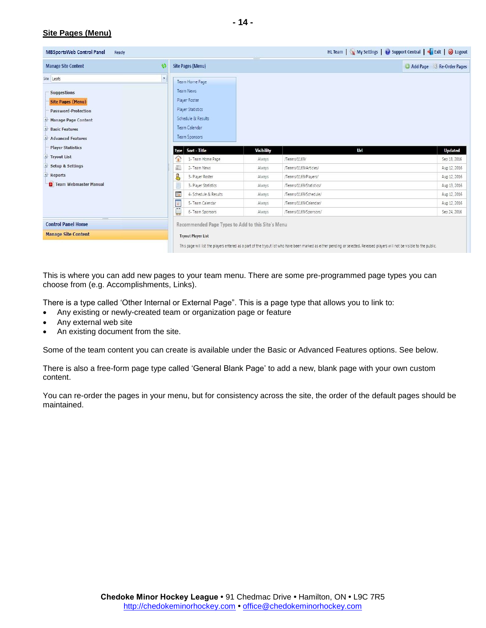# **Site Pages (Menu)**

| HL Team   My Settings   O Support Central   Fxit   O Logout<br><b>MBSportsWeb Control Panel</b><br>Ready                                  |              |                                                                                            |                   |                                                                                                                                                                              |                           |  |  |
|-------------------------------------------------------------------------------------------------------------------------------------------|--------------|--------------------------------------------------------------------------------------------|-------------------|------------------------------------------------------------------------------------------------------------------------------------------------------------------------------|---------------------------|--|--|
| <b>Manage Site Content</b>                                                                                                                | 43           | <b>Site Pages (Menu)</b>                                                                   |                   |                                                                                                                                                                              | Add Page & Re-Order Pages |  |  |
| Site: Leafs<br><b>Suggestions</b>                                                                                                         | $\mathbf{v}$ | Team Home Page<br>Team News                                                                |                   |                                                                                                                                                                              |                           |  |  |
| <b>Site Pages (Menu)</b><br><b>Password-Protection</b><br><b>Manage Page Content</b><br><b>Basic Features</b><br><b>Advanced Features</b> |              | Player Roster<br>Player Statistics<br>Schedule & Results<br>Team Calendar<br>Team Sponsors |                   |                                                                                                                                                                              |                           |  |  |
| <b>Player Statistics</b>                                                                                                                  |              | Sort - Title<br>Type                                                                       | <b>Visibility</b> | Url                                                                                                                                                                          | <b>Updated</b>            |  |  |
| * Tryout List                                                                                                                             |              | 1- Team Home Page<br>1g                                                                    | Always            | /Teams/1169/                                                                                                                                                                 | Sep 18, 2016              |  |  |
| the Setup & Settings                                                                                                                      |              | 圖<br>2- Team News                                                                          | Always            | /Teams/1169/Articles/                                                                                                                                                        | Aug 12, 2016              |  |  |
| 卦<br>Reports                                                                                                                              |              | 8<br>3- Player Roster                                                                      | Always            | /Teams/1169/Players/                                                                                                                                                         | Aug 12, 2016              |  |  |
| Team Webmaster Manual                                                                                                                     |              | 3- Player Statistics                                                                       | Always            | /Teams/1169/Statistics/                                                                                                                                                      | Aug 13, 2016              |  |  |
|                                                                                                                                           |              | 晦<br>4- Schedule & Results                                                                 | Always            | /Teams/1169/Schedule/                                                                                                                                                        | Aug 12, 2016              |  |  |
|                                                                                                                                           |              | Ū<br>5- Team Calendar                                                                      | Always            | /Teams/1169/Calendar/                                                                                                                                                        | Aug 12, 2016              |  |  |
|                                                                                                                                           |              | ⋤<br>6- Team Sponsors                                                                      | Always            | /Teams/1169/Sponsors/                                                                                                                                                        | Sep 24, 2016              |  |  |
| 44444<br><b>Control Panel Home</b>                                                                                                        |              | Recommended Page Types to Add to this Site's Menu                                          |                   |                                                                                                                                                                              |                           |  |  |
| <b>Manage Site Content</b>                                                                                                                |              | <b>Tryout Player List</b>                                                                  |                   |                                                                                                                                                                              |                           |  |  |
|                                                                                                                                           |              |                                                                                            |                   | This page will list the players entered as a part of the tryout list who have been marked as either pending or selected. Released players will not be visible to the public. |                           |  |  |

This is where you can add new pages to your team menu. There are some pre-programmed page types you can choose from (e.g. Accomplishments, Links).

There is a type called 'Other Internal or External Page". This is a page type that allows you to link to:

- Any existing or newly-created team or organization page or feature
- Any external web site
- An existing document from the site.

Some of the team content you can create is available under the Basic or Advanced Features options. See below.

There is also a free-form page type called 'General Blank Page' to add a new, blank page with your own custom content.

You can re-order the pages in your menu, but for consistency across the site, the order of the default pages should be maintained.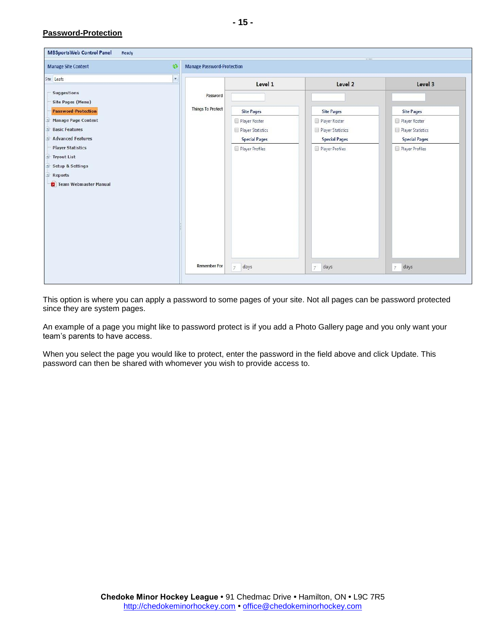# **Password-Protection**

| MBSportsWeb Control Panel<br>Ready              |                                   |                                         | 111111                                  |                                         |
|-------------------------------------------------|-----------------------------------|-----------------------------------------|-----------------------------------------|-----------------------------------------|
| <b>Manage Site Content</b><br>$\lambda$         | <b>Manage Password-Protection</b> |                                         |                                         |                                         |
| Site: Leafs<br>÷.                               |                                   | Level 1                                 | Level 2                                 | Level 3                                 |
| Suggestions<br>Site Pages (Menu)                | Password                          |                                         |                                         |                                         |
| <b>Password-Protection</b>                      | <b>Things To Protect</b>          | <b>Site Pages</b>                       | <b>Site Pages</b>                       | <b>Site Pages</b>                       |
| Manage Page Content<br><b>Basic Features</b>    |                                   | Player Roster<br>Player Statistics      | Player Roster<br>Player Statistics      | Player Roster<br>Player Statistics      |
| + Advanced Features<br><b>Player Statistics</b> |                                   | <b>Special Pages</b><br>Player Profiles | <b>Special Pages</b><br>Player Profiles | <b>Special Pages</b><br>Player Profiles |
| Tryout List                                     |                                   |                                         |                                         |                                         |
| Setup & Settings<br>Reports                     |                                   |                                         |                                         |                                         |
| Team Webmaster Manual                           |                                   |                                         |                                         |                                         |
|                                                 |                                   |                                         |                                         |                                         |
|                                                 |                                   |                                         |                                         |                                         |
|                                                 |                                   |                                         |                                         |                                         |
|                                                 |                                   |                                         |                                         |                                         |
|                                                 | <b>Remember For</b>               | 7<br>days                               | days<br>$\mathcal{I}$                   | days<br>$\overline{7}$                  |
|                                                 |                                   |                                         |                                         |                                         |

This option is where you can apply a password to some pages of your site. Not all pages can be password protected since they are system pages.

An example of a page you might like to password protect is if you add a Photo Gallery page and you only want your team's parents to have access.

When you select the page you would like to protect, enter the password in the field above and click Update. This password can then be shared with whomever you wish to provide access to.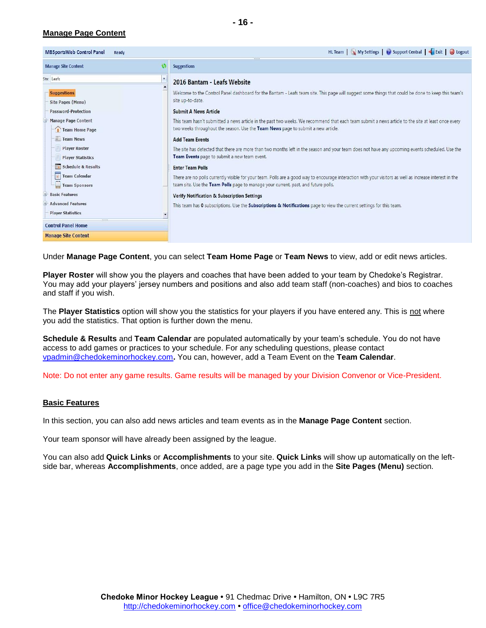# **Manage Page Content**

| <b>MBSportsWeb Control Panel</b>                                                                                                                         | HL Team   My Settings   @ Support Central   Fixit   @ Log                                                                                                                       |
|----------------------------------------------------------------------------------------------------------------------------------------------------------|---------------------------------------------------------------------------------------------------------------------------------------------------------------------------------|
| Ready                                                                                                                                                    |                                                                                                                                                                                 |
| <b>Manage Site Content</b>                                                                                                                               | <b>Suggestions</b>                                                                                                                                                              |
| Site: Leafs                                                                                                                                              | 2016 Bantam - Leafs Website                                                                                                                                                     |
| <b>Suggestions</b>                                                                                                                                       | Welcome to the Control Panel dashboard for the Bantam - Leafs team site. This page will suggest some things that could be done to keep this team'                               |
| Site Pages (Menu)                                                                                                                                        | site up-to-date.                                                                                                                                                                |
| <b>Password-Protection</b>                                                                                                                               | <b>Submit A News Article</b>                                                                                                                                                    |
| <b>Manage Page Content</b>                                                                                                                               | This team hasn't submitted a news article in the past two weeks. We recommend that each team submit a news article to the site at least once every                              |
| Team Home Page                                                                                                                                           | two weeks throughout the season. Use the Team News page to submit a new article.                                                                                                |
| <b>Team News</b>                                                                                                                                         | <b>Add Team Events</b>                                                                                                                                                          |
| <b>Player Roster</b>                                                                                                                                     | The site has detected that there are more than two months left in the season and your team does not have any upcoming events scheduled. Use the                                 |
| <b>Player Statistics</b>                                                                                                                                 | Team Events page to submit a new team event.                                                                                                                                    |
| Schedule & Results                                                                                                                                       | <b>Enter Team Polls</b>                                                                                                                                                         |
| <b>Team Calendar</b>                                                                                                                                     | There are no polls currently visible for your team. Polls are a good way to encourage interaction with your visitors as well as increase interest in the                        |
| Team Sponsors                                                                                                                                            | team site. Use the Team Polls page to manage your current, past, and future polls.                                                                                              |
| <b>Basic Features</b><br><b>Advanced Features</b><br><b>Player Statistics</b><br><b>COLOR</b><br><b>Control Panel Home</b><br><b>Manage Site Content</b> | <b>Verify Notification &amp; Subscription Settings</b><br>This team has 0 subscriptions. Use the Subscriptions & Notifications page to view the current settings for this team. |

Under **Manage Page Content**, you can select **Team Home Page** or **Team News** to view, add or edit news articles.

**Player Roster** will show you the players and coaches that have been added to your team by Chedoke's Registrar. You may add your players' jersey numbers and positions and also add team staff (non-coaches) and bios to coaches and staff if you wish.

The **Player Statistics** option will show you the statistics for your players if you have entered any. This is not where you add the statistics. That option is further down the menu.

**Schedule & Results** and **Team Calendar** are populated automatically by your team's schedule. You do not have access to add games or practices to your schedule. For any scheduling questions, please contact [vpadmin@chedokeminorhockey.com](mailto:vpadmin@chedokeminorhockey.com)**.** You can, however, add a Team Event on the **Team Calendar**.

Note: Do not enter any game results. Game results will be managed by your Division Convenor or Vice-President.

#### **Basic Features**

In this section, you can also add news articles and team events as in the **Manage Page Content** section.

Your team sponsor will have already been assigned by the league.

You can also add **Quick Links** or **Accomplishments** to your site. **Quick Links** will show up automatically on the leftside bar, whereas **Accomplishments**, once added, are a page type you add in the **Site Pages (Menu)** section.

out